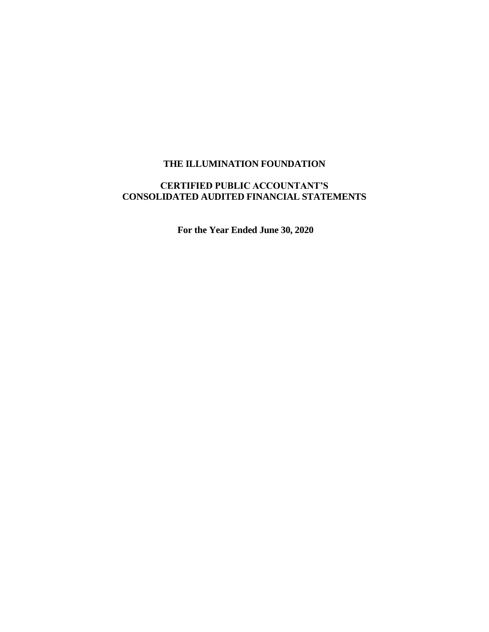# **CERTIFIED PUBLIC ACCOUNTANT'S CONSOLIDATED AUDITED FINANCIAL STATEMENTS**

**For the Year Ended June 30, 2020**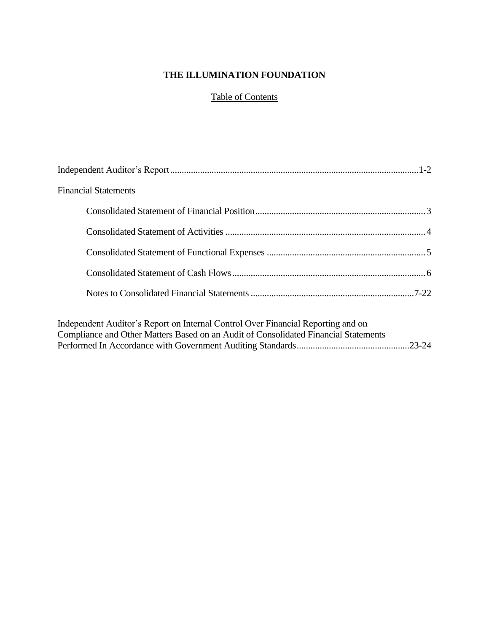# Table of Contents

| <b>Financial Statements</b>                                                                                                                                             |  |
|-------------------------------------------------------------------------------------------------------------------------------------------------------------------------|--|
|                                                                                                                                                                         |  |
|                                                                                                                                                                         |  |
|                                                                                                                                                                         |  |
|                                                                                                                                                                         |  |
|                                                                                                                                                                         |  |
| Independent Auditor's Report on Internal Control Over Financial Reporting and on<br>Compliance and Other Matters Based on an Audit of Consolidated Financial Statements |  |
|                                                                                                                                                                         |  |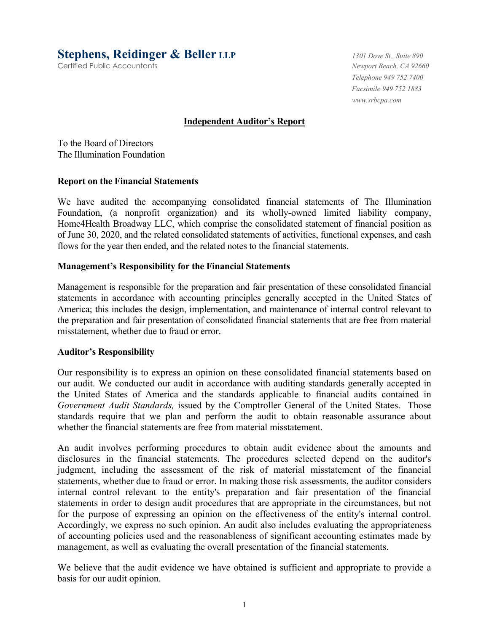**Stephens, Reidinger & Beller LLP** *1301 Dove St., Suite 890*

Certified Public Accountants *Newport Beach, CA 92660*

*Telephone 949 752 7400 Facsimile 949 752 1883 www.srbcpa.com* 

## **Independent Auditor's Report**

To the Board of Directors The Illumination Foundation

#### **Report on the Financial Statements**

We have audited the accompanying consolidated financial statements of The Illumination Foundation, (a nonprofit organization) and its wholly-owned limited liability company, Home4Health Broadway LLC, which comprise the consolidated statement of financial position as of June 30, 2020, and the related consolidated statements of activities, functional expenses, and cash flows for the year then ended, and the related notes to the financial statements.

#### **Management's Responsibility for the Financial Statements**

Management is responsible for the preparation and fair presentation of these consolidated financial statements in accordance with accounting principles generally accepted in the United States of America; this includes the design, implementation, and maintenance of internal control relevant to the preparation and fair presentation of consolidated financial statements that are free from material misstatement, whether due to fraud or error.

#### **Auditor's Responsibility**

Our responsibility is to express an opinion on these consolidated financial statements based on our audit. We conducted our audit in accordance with auditing standards generally accepted in the United States of America and the standards applicable to financial audits contained in *Government Audit Standards,* issued by the Comptroller General of the United States. Those standards require that we plan and perform the audit to obtain reasonable assurance about whether the financial statements are free from material misstatement.

An audit involves performing procedures to obtain audit evidence about the amounts and disclosures in the financial statements. The procedures selected depend on the auditor's judgment, including the assessment of the risk of material misstatement of the financial statements, whether due to fraud or error. In making those risk assessments, the auditor considers internal control relevant to the entity's preparation and fair presentation of the financial statements in order to design audit procedures that are appropriate in the circumstances, but not for the purpose of expressing an opinion on the effectiveness of the entity's internal control. Accordingly, we express no such opinion. An audit also includes evaluating the appropriateness of accounting policies used and the reasonableness of significant accounting estimates made by management, as well as evaluating the overall presentation of the financial statements.

We believe that the audit evidence we have obtained is sufficient and appropriate to provide a basis for our audit opinion.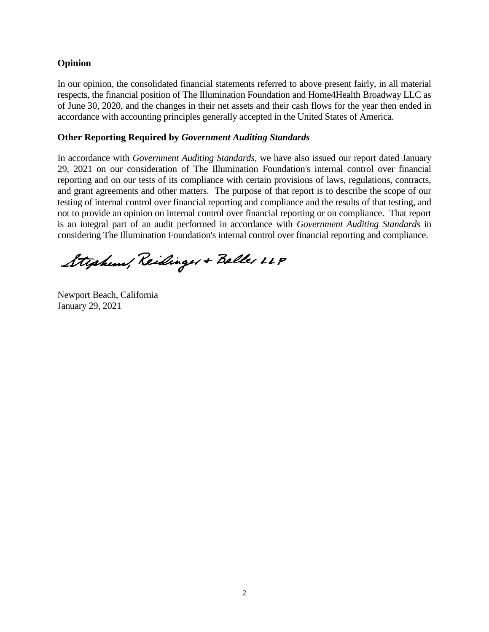## **Opinion**

In our opinion, the consolidated financial statements referred to above present fairly, in all material respects, the financial position of The Illumination Foundation and Home4Health Broadway LLC as of June 30, 2020, and the changes in their net assets and their cash flows for the year then ended in accordance with accounting principles generally accepted in the United States of America.

#### **Other Reporting Required by** *Government Auditing Standards*

In accordance with *Government Auditing Standards*, we have also issued our report dated January 29, 2021 on our consideration of The Illumination Foundation's internal control over financial reporting and on our tests of its compliance with certain provisions of laws, regulations, contracts, and grant agreements and other matters. The purpose of that report is to describe the scope of our testing of internal control over financial reporting and compliance and the results of that testing, and not to provide an opinion on internal control over financial reporting or on compliance. That report is an integral part of an audit performed in accordance with *Government Auditing Standards* in considering The Illumination Foundation's internal control over financial reporting and compliance.

Stephens, Reidinger + Beller LLP

Newport Beach, California January 29, 2021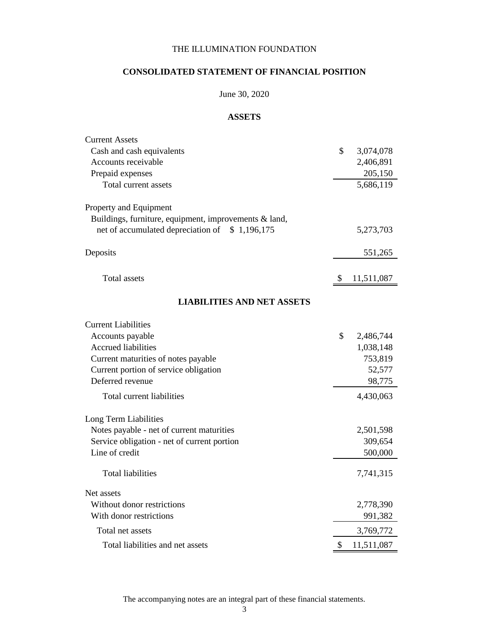# **CONSOLIDATED STATEMENT OF FINANCIAL POSITION**

# June 30, 2020

## **ASSETS**

| <b>Current Assets</b>                                 |               |            |
|-------------------------------------------------------|---------------|------------|
| Cash and cash equivalents                             | \$            | 3,074,078  |
| Accounts receivable                                   |               | 2,406,891  |
| Prepaid expenses                                      |               | 205,150    |
| Total current assets                                  |               | 5,686,119  |
| Property and Equipment                                |               |            |
| Buildings, furniture, equipment, improvements & land, |               |            |
| net of accumulated depreciation of \$1,196,175        |               | 5,273,703  |
| Deposits                                              |               | 551,265    |
| <b>Total assets</b>                                   |               |            |
|                                                       | <sup>\$</sup> | 11,511,087 |
| <b>LIABILITIES AND NET ASSETS</b>                     |               |            |
| <b>Current Liabilities</b>                            |               |            |
| Accounts payable                                      | \$            | 2,486,744  |
| <b>Accrued liabilities</b>                            |               | 1,038,148  |
| Current maturities of notes payable                   |               | 753,819    |
| Current portion of service obligation                 |               | 52,577     |
| Deferred revenue                                      |               | 98,775     |
| Total current liabilities                             |               | 4,430,063  |
| Long Term Liabilities                                 |               |            |
| Notes payable - net of current maturities             |               | 2,501,598  |
| Service obligation - net of current portion           |               | 309,654    |
| Line of credit                                        |               | 500,000    |
| <b>Total liabilities</b>                              |               | 7,741,315  |
| Net assets                                            |               |            |
| Without donor restrictions                            |               | 2,778,390  |
| With donor restrictions                               |               | 991,382    |
| Total net assets                                      |               | 3,769,772  |
| Total liabilities and net assets                      | \$            | 11,511,087 |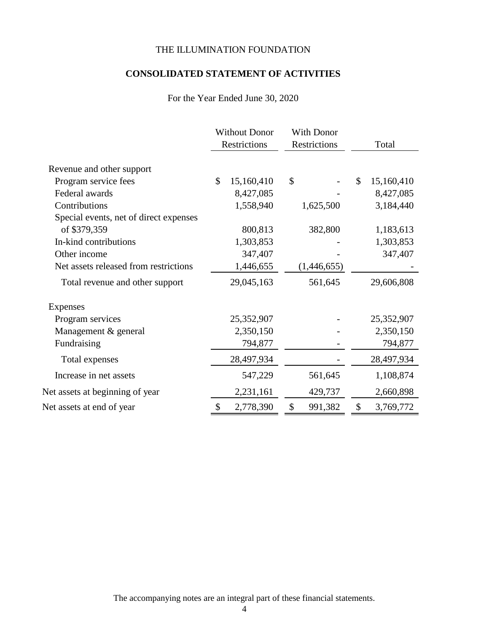# **CONSOLIDATED STATEMENT OF ACTIVITIES**

# For the Year Ended June 30, 2020

|                                        | <b>Without Donor</b><br>Restrictions | <b>With Donor</b><br>Restrictions | Total            |
|----------------------------------------|--------------------------------------|-----------------------------------|------------------|
| Revenue and other support              |                                      |                                   |                  |
| Program service fees                   | \$<br>15,160,410                     | \$                                | \$<br>15,160,410 |
| Federal awards                         | 8,427,085                            |                                   | 8,427,085        |
| Contributions                          | 1,558,940                            | 1,625,500                         | 3,184,440        |
| Special events, net of direct expenses |                                      |                                   |                  |
| of \$379,359                           | 800,813                              | 382,800                           | 1,183,613        |
| In-kind contributions                  | 1,303,853                            |                                   | 1,303,853        |
| Other income                           | 347,407                              |                                   | 347,407          |
| Net assets released from restrictions  | 1,446,655                            | (1,446,655)                       |                  |
| Total revenue and other support        | 29,045,163                           | 561,645                           | 29,606,808       |
| Expenses                               |                                      |                                   |                  |
| Program services                       | 25,352,907                           |                                   | 25,352,907       |
| Management & general                   | 2,350,150                            |                                   | 2,350,150        |
| Fundraising                            | 794,877                              |                                   | 794,877          |
| Total expenses                         | 28,497,934                           |                                   | 28,497,934       |
| Increase in net assets                 | 547,229                              | 561,645                           | 1,108,874        |
| Net assets at beginning of year        | 2,231,161                            | 429,737                           | 2,660,898        |
| Net assets at end of year              | \$<br>2,778,390                      | \$<br>991,382                     | \$<br>3,769,772  |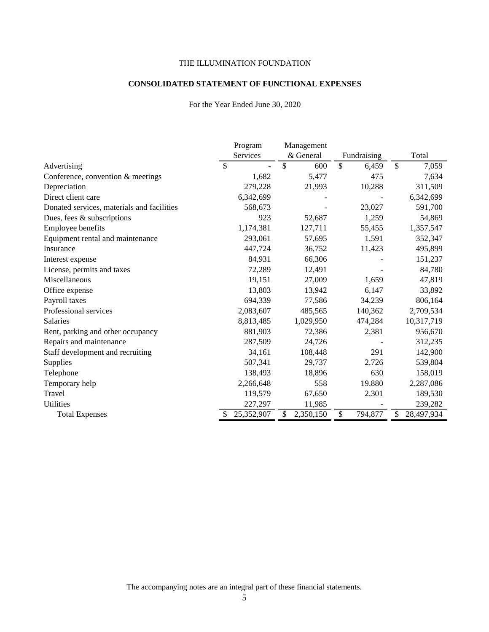#### **CONSOLIDATED STATEMENT OF FUNCTIONAL EXPENSES**

#### For the Year Ended June 30, 2020

|                                            | Program       | Management      |                        |                  |
|--------------------------------------------|---------------|-----------------|------------------------|------------------|
|                                            | Services      | & General       | Fundraising            | Total            |
| Advertising                                | $\mathcal{S}$ | \$<br>600       | $\mathcal{S}$<br>6,459 | \$<br>7,059      |
| Conference, convention & meetings          | 1,682         | 5,477           | 475                    | 7,634            |
| Depreciation                               | 279,228       | 21,993          | 10,288                 | 311,509          |
| Direct client care                         | 6,342,699     |                 |                        | 6,342,699        |
| Donated services, materials and facilities | 568,673       |                 | 23,027                 | 591,700          |
| Dues, fees $\&$ subscriptions              | 923           | 52,687          | 1,259                  | 54,869           |
| Employee benefits                          | 1,174,381     | 127,711         | 55,455                 | 1,357,547        |
| Equipment rental and maintenance           | 293,061       | 57,695          | 1,591                  | 352,347          |
| Insurance                                  | 447,724       | 36,752          | 11,423                 | 495,899          |
| Interest expense                           | 84,931        | 66,306          |                        | 151,237          |
| License, permits and taxes                 | 72,289        | 12,491          |                        | 84,780           |
| Miscellaneous                              | 19,151        | 27,009          | 1,659                  | 47,819           |
| Office expense                             | 13,803        | 13,942          | 6,147                  | 33,892           |
| Payroll taxes                              | 694,339       | 77,586          | 34,239                 | 806,164          |
| Professional services                      | 2,083,607     | 485,565         | 140,362                | 2,709,534        |
| <b>Salaries</b>                            | 8,813,485     | 1,029,950       | 474,284                | 10,317,719       |
| Rent, parking and other occupancy          | 881,903       | 72,386          | 2,381                  | 956,670          |
| Repairs and maintenance                    | 287,509       | 24,726          |                        | 312,235          |
| Staff development and recruiting           | 34,161        | 108,448         | 291                    | 142,900          |
| Supplies                                   | 507,341       | 29,737          | 2,726                  | 539,804          |
| Telephone                                  | 138,493       | 18,896          | 630                    | 158,019          |
| Temporary help                             | 2,266,648     | 558             | 19,880                 | 2,287,086        |
| Travel                                     | 119,579       | 67,650          | 2,301                  | 189,530          |
| <b>Utilities</b>                           | 227,297       | 11,985          |                        | 239,282          |
| <b>Total Expenses</b>                      | 25,352,907    | \$<br>2,350,150 | 794,877<br>\$          | \$<br>28,497,934 |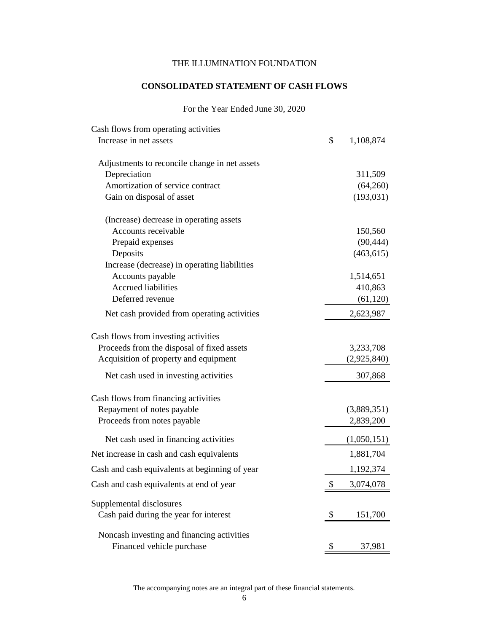# **CONSOLIDATED STATEMENT OF CASH FLOWS**

## For the Year Ended June 30, 2020

| Cash flows from operating activities           |                 |
|------------------------------------------------|-----------------|
| Increase in net assets                         | \$<br>1,108,874 |
| Adjustments to reconcile change in net assets  |                 |
| Depreciation                                   | 311,509         |
| Amortization of service contract               | (64,260)        |
| Gain on disposal of asset                      | (193, 031)      |
| (Increase) decrease in operating assets        |                 |
| Accounts receivable                            | 150,560         |
| Prepaid expenses                               | (90, 444)       |
| Deposits                                       | (463, 615)      |
| Increase (decrease) in operating liabilities   |                 |
| Accounts payable                               | 1,514,651       |
| <b>Accrued liabilities</b>                     | 410,863         |
| Deferred revenue                               | (61, 120)       |
| Net cash provided from operating activities    | 2,623,987       |
| Cash flows from investing activities           |                 |
| Proceeds from the disposal of fixed assets     | 3,233,708       |
| Acquisition of property and equipment          | (2,925,840)     |
| Net cash used in investing activities          | 307,868         |
| Cash flows from financing activities           |                 |
| Repayment of notes payable                     | (3,889,351)     |
| Proceeds from notes payable                    | 2,839,200       |
| Net cash used in financing activities          | (1,050,151)     |
| Net increase in cash and cash equivalents      | 1,881,704       |
| Cash and cash equivalents at beginning of year | 1,192,374       |
| Cash and cash equivalents at end of year       | \$<br>3,074,078 |
| Supplemental disclosures                       |                 |
| Cash paid during the year for interest         | \$<br>151,700   |
| Noncash investing and financing activities     |                 |
| Financed vehicle purchase                      | \$<br>37,981    |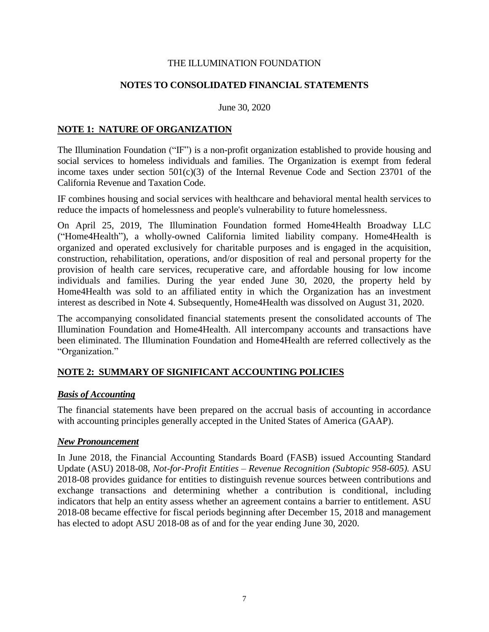## **NOTES TO CONSOLIDATED FINANCIAL STATEMENTS**

June 30, 2020

## **NOTE 1: NATURE OF ORGANIZATION**

The Illumination Foundation ("IF") is a non-profit organization established to provide housing and social services to homeless individuals and families. The Organization is exempt from federal income taxes under section  $501(c)(3)$  of the Internal Revenue Code and Section 23701 of the California Revenue and Taxation Code.

IF combines housing and social services with healthcare and behavioral mental health services to reduce the impacts of homelessness and people's vulnerability to future homelessness.

On April 25, 2019, The Illumination Foundation formed Home4Health Broadway LLC ("Home4Health"), a wholly-owned California limited liability company. Home4Health is organized and operated exclusively for charitable purposes and is engaged in the acquisition, construction, rehabilitation, operations, and/or disposition of real and personal property for the provision of health care services, recuperative care, and affordable housing for low income individuals and families. During the year ended June 30, 2020, the property held by Home4Health was sold to an affiliated entity in which the Organization has an investment interest as described in Note 4. Subsequently, Home4Health was dissolved on August 31, 2020.

The accompanying consolidated financial statements present the consolidated accounts of The Illumination Foundation and Home4Health. All intercompany accounts and transactions have been eliminated. The Illumination Foundation and Home4Health are referred collectively as the "Organization."

# **NOTE 2: SUMMARY OF SIGNIFICANT ACCOUNTING POLICIES**

## *Basis of Accounting*

The financial statements have been prepared on the accrual basis of accounting in accordance with accounting principles generally accepted in the United States of America (GAAP).

## *New Pronouncement*

In June 2018, the Financial Accounting Standards Board (FASB) issued Accounting Standard Update (ASU) 2018-08, *Not-for-Profit Entities – Revenue Recognition (Subtopic 958-605).* ASU 2018-08 provides guidance for entities to distinguish revenue sources between contributions and exchange transactions and determining whether a contribution is conditional, including indicators that help an entity assess whether an agreement contains a barrier to entitlement. ASU 2018-08 became effective for fiscal periods beginning after December 15, 2018 and management has elected to adopt ASU 2018-08 as of and for the year ending June 30, 2020.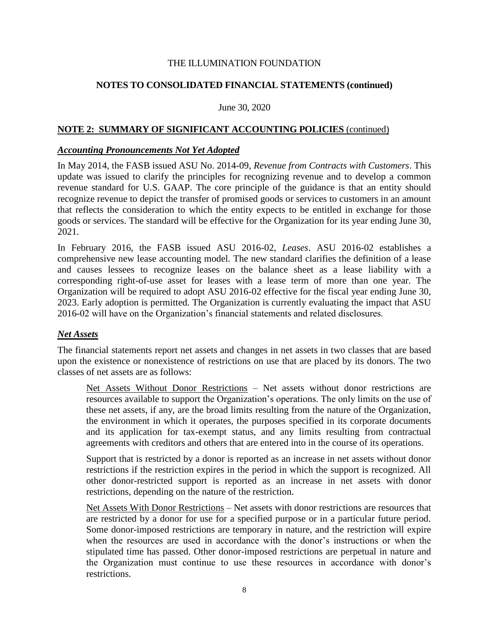## **NOTES TO CONSOLIDATED FINANCIAL STATEMENTS (continued)**

#### June 30, 2020

## **NOTE 2: SUMMARY OF SIGNIFICANT ACCOUNTING POLICIES** (continued)

#### *Accounting Pronouncements Not Yet Adopted*

In May 2014, the FASB issued ASU No. 2014-09, *Revenue from Contracts with Customers*. This update was issued to clarify the principles for recognizing revenue and to develop a common revenue standard for U.S. GAAP. The core principle of the guidance is that an entity should recognize revenue to depict the transfer of promised goods or services to customers in an amount that reflects the consideration to which the entity expects to be entitled in exchange for those goods or services. The standard will be effective for the Organization for its year ending June 30, 2021.

In February 2016, the FASB issued ASU 2016-02, *Leases*. ASU 2016-02 establishes a comprehensive new lease accounting model. The new standard clarifies the definition of a lease and causes lessees to recognize leases on the balance sheet as a lease liability with a corresponding right-of-use asset for leases with a lease term of more than one year. The Organization will be required to adopt ASU 2016-02 effective for the fiscal year ending June 30, 2023. Early adoption is permitted. The Organization is currently evaluating the impact that ASU 2016-02 will have on the Organization's financial statements and related disclosures.

## *Net Assets*

The financial statements report net assets and changes in net assets in two classes that are based upon the existence or nonexistence of restrictions on use that are placed by its donors. The two classes of net assets are as follows:

Net Assets Without Donor Restrictions – Net assets without donor restrictions are resources available to support the Organization's operations. The only limits on the use of these net assets, if any, are the broad limits resulting from the nature of the Organization, the environment in which it operates, the purposes specified in its corporate documents and its application for tax-exempt status, and any limits resulting from contractual agreements with creditors and others that are entered into in the course of its operations.

Support that is restricted by a donor is reported as an increase in net assets without donor restrictions if the restriction expires in the period in which the support is recognized. All other donor-restricted support is reported as an increase in net assets with donor restrictions, depending on the nature of the restriction.

Net Assets With Donor Restrictions – Net assets with donor restrictions are resources that are restricted by a donor for use for a specified purpose or in a particular future period. Some donor-imposed restrictions are temporary in nature, and the restriction will expire when the resources are used in accordance with the donor's instructions or when the stipulated time has passed. Other donor-imposed restrictions are perpetual in nature and the Organization must continue to use these resources in accordance with donor's restrictions.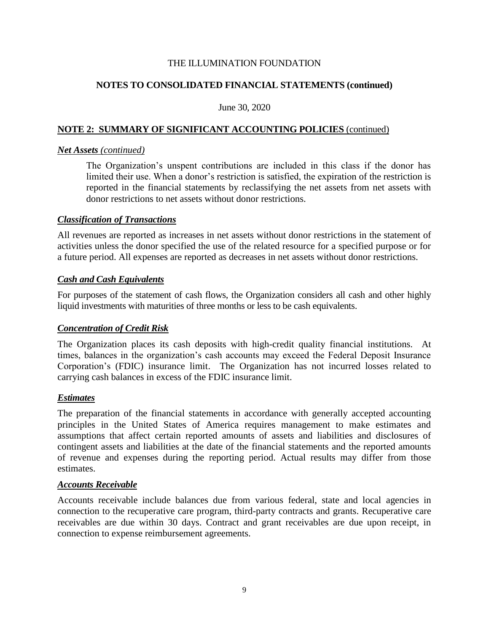# **NOTES TO CONSOLIDATED FINANCIAL STATEMENTS (continued)**

#### June 30, 2020

## **NOTE 2: SUMMARY OF SIGNIFICANT ACCOUNTING POLICIES** (continued)

#### *Net Assets (continued)*

The Organization's unspent contributions are included in this class if the donor has limited their use. When a donor's restriction is satisfied, the expiration of the restriction is reported in the financial statements by reclassifying the net assets from net assets with donor restrictions to net assets without donor restrictions.

#### *Classification of Transactions*

All revenues are reported as increases in net assets without donor restrictions in the statement of activities unless the donor specified the use of the related resource for a specified purpose or for a future period. All expenses are reported as decreases in net assets without donor restrictions.

## *Cash and Cash Equivalents*

For purposes of the statement of cash flows, the Organization considers all cash and other highly liquid investments with maturities of three months or less to be cash equivalents.

## *Concentration of Credit Risk*

The Organization places its cash deposits with high-credit quality financial institutions. At times, balances in the organization's cash accounts may exceed the Federal Deposit Insurance Corporation's (FDIC) insurance limit. The Organization has not incurred losses related to carrying cash balances in excess of the FDIC insurance limit.

## *Estimates*

The preparation of the financial statements in accordance with generally accepted accounting principles in the United States of America requires management to make estimates and assumptions that affect certain reported amounts of assets and liabilities and disclosures of contingent assets and liabilities at the date of the financial statements and the reported amounts of revenue and expenses during the reporting period. Actual results may differ from those estimates.

#### *Accounts Receivable*

Accounts receivable include balances due from various federal, state and local agencies in connection to the recuperative care program, third-party contracts and grants. Recuperative care receivables are due within 30 days. Contract and grant receivables are due upon receipt, in connection to expense reimbursement agreements.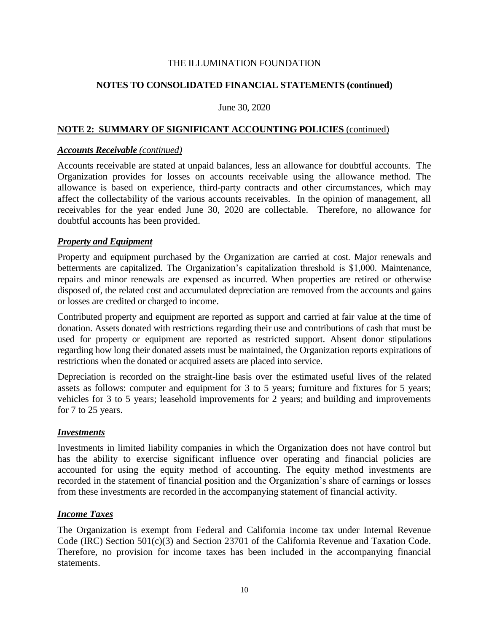## **NOTES TO CONSOLIDATED FINANCIAL STATEMENTS (continued)**

#### June 30, 2020

## **NOTE 2: SUMMARY OF SIGNIFICANT ACCOUNTING POLICIES** (continued)

#### *Accounts Receivable (continued)*

Accounts receivable are stated at unpaid balances, less an allowance for doubtful accounts. The Organization provides for losses on accounts receivable using the allowance method. The allowance is based on experience, third-party contracts and other circumstances, which may affect the collectability of the various accounts receivables. In the opinion of management, all receivables for the year ended June 30, 2020 are collectable. Therefore, no allowance for doubtful accounts has been provided.

#### *Property and Equipment*

Property and equipment purchased by the Organization are carried at cost. Major renewals and betterments are capitalized. The Organization's capitalization threshold is \$1,000. Maintenance, repairs and minor renewals are expensed as incurred. When properties are retired or otherwise disposed of, the related cost and accumulated depreciation are removed from the accounts and gains or losses are credited or charged to income.

Contributed property and equipment are reported as support and carried at fair value at the time of donation. Assets donated with restrictions regarding their use and contributions of cash that must be used for property or equipment are reported as restricted support. Absent donor stipulations regarding how long their donated assets must be maintained, the Organization reports expirations of restrictions when the donated or acquired assets are placed into service.

Depreciation is recorded on the straight-line basis over the estimated useful lives of the related assets as follows: computer and equipment for 3 to 5 years; furniture and fixtures for 5 years; vehicles for 3 to 5 years; leasehold improvements for 2 years; and building and improvements for 7 to 25 years.

#### *Investments*

Investments in limited liability companies in which the Organization does not have control but has the ability to exercise significant influence over operating and financial policies are accounted for using the equity method of accounting. The equity method investments are recorded in the statement of financial position and the Organization's share of earnings or losses from these investments are recorded in the accompanying statement of financial activity.

## *Income Taxes*

The Organization is exempt from Federal and California income tax under Internal Revenue Code (IRC) Section 501(c)(3) and Section 23701 of the California Revenue and Taxation Code. Therefore, no provision for income taxes has been included in the accompanying financial statements.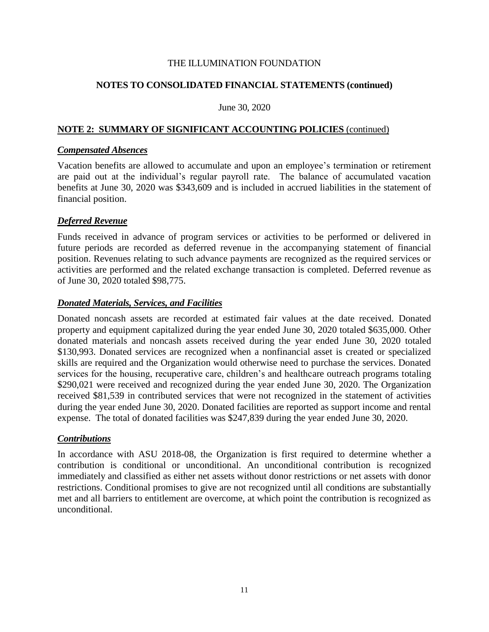# **NOTES TO CONSOLIDATED FINANCIAL STATEMENTS (continued)**

#### June 30, 2020

## **NOTE 2: SUMMARY OF SIGNIFICANT ACCOUNTING POLICIES** (continued)

#### *Compensated Absences*

Vacation benefits are allowed to accumulate and upon an employee's termination or retirement are paid out at the individual's regular payroll rate. The balance of accumulated vacation benefits at June 30, 2020 was \$343,609 and is included in accrued liabilities in the statement of financial position.

## *Deferred Revenue*

Funds received in advance of program services or activities to be performed or delivered in future periods are recorded as deferred revenue in the accompanying statement of financial position. Revenues relating to such advance payments are recognized as the required services or activities are performed and the related exchange transaction is completed. Deferred revenue as of June 30, 2020 totaled \$98,775.

## *Donated Materials, Services, and Facilities*

Donated noncash assets are recorded at estimated fair values at the date received. Donated property and equipment capitalized during the year ended June 30, 2020 totaled \$635,000. Other donated materials and noncash assets received during the year ended June 30, 2020 totaled \$130,993. Donated services are recognized when a nonfinancial asset is created or specialized skills are required and the Organization would otherwise need to purchase the services. Donated services for the housing, recuperative care, children's and healthcare outreach programs totaling \$290,021 were received and recognized during the year ended June 30, 2020. The Organization received \$81,539 in contributed services that were not recognized in the statement of activities during the year ended June 30, 2020. Donated facilities are reported as support income and rental expense. The total of donated facilities was \$247,839 during the year ended June 30, 2020.

## *Contributions*

In accordance with ASU 2018-08, the Organization is first required to determine whether a contribution is conditional or unconditional. An unconditional contribution is recognized immediately and classified as either net assets without donor restrictions or net assets with donor restrictions. Conditional promises to give are not recognized until all conditions are substantially met and all barriers to entitlement are overcome, at which point the contribution is recognized as unconditional.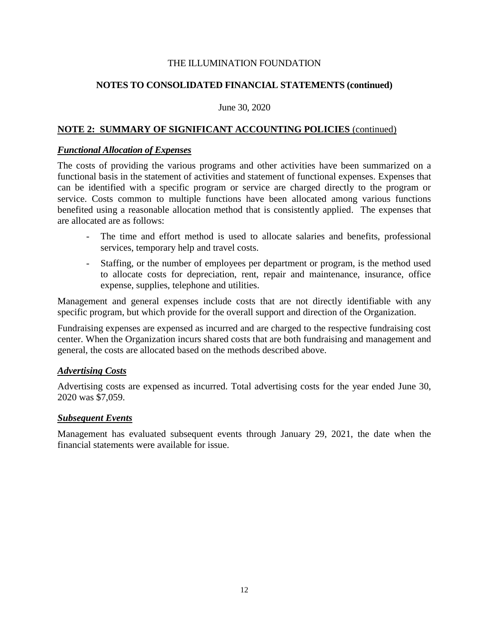# **NOTES TO CONSOLIDATED FINANCIAL STATEMENTS (continued)**

#### June 30, 2020

## **NOTE 2: SUMMARY OF SIGNIFICANT ACCOUNTING POLICIES** (continued)

#### *Functional Allocation of Expenses*

The costs of providing the various programs and other activities have been summarized on a functional basis in the statement of activities and statement of functional expenses. Expenses that can be identified with a specific program or service are charged directly to the program or service. Costs common to multiple functions have been allocated among various functions benefited using a reasonable allocation method that is consistently applied. The expenses that are allocated are as follows:

- The time and effort method is used to allocate salaries and benefits, professional services, temporary help and travel costs.
- Staffing, or the number of employees per department or program, is the method used to allocate costs for depreciation, rent, repair and maintenance, insurance, office expense, supplies, telephone and utilities.

Management and general expenses include costs that are not directly identifiable with any specific program, but which provide for the overall support and direction of the Organization.

Fundraising expenses are expensed as incurred and are charged to the respective fundraising cost center. When the Organization incurs shared costs that are both fundraising and management and general, the costs are allocated based on the methods described above.

## *Advertising Costs*

Advertising costs are expensed as incurred. Total advertising costs for the year ended June 30, 2020 was \$7,059.

## *Subsequent Events*

Management has evaluated subsequent events through January 29, 2021, the date when the financial statements were available for issue.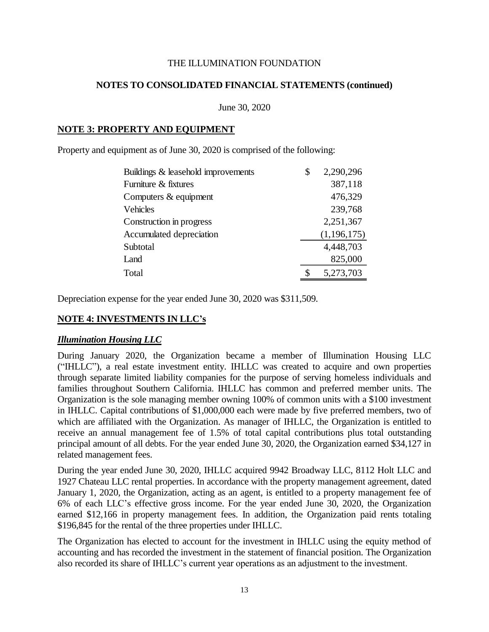## **NOTES TO CONSOLIDATED FINANCIAL STATEMENTS (continued)**

June 30, 2020

## **NOTE 3: PROPERTY AND EQUIPMENT**

Property and equipment as of June 30, 2020 is comprised of the following:

| Buildings & leasehold improvements | \$<br>2,290,296 |
|------------------------------------|-----------------|
| Furniture & fixtures               | 387,118         |
| Computers & equipment              | 476,329         |
| Vehicles                           | 239,768         |
| Construction in progress           | 2,251,367       |
| Accumulated depreciation           | (1, 196, 175)   |
| Subtotal                           | 4,448,703       |
| Land                               | 825,000         |
| Total                              | 5,273,703       |

Depreciation expense for the year ended June 30, 2020 was \$311,509.

# **NOTE 4: INVESTMENTS IN LLC's**

## *Illumination Housing LLC*

During January 2020, the Organization became a member of Illumination Housing LLC ("IHLLC"), a real estate investment entity. IHLLC was created to acquire and own properties through separate limited liability companies for the purpose of serving homeless individuals and families throughout Southern California. IHLLC has common and preferred member units. The Organization is the sole managing member owning 100% of common units with a \$100 investment in IHLLC. Capital contributions of \$1,000,000 each were made by five preferred members, two of which are affiliated with the Organization. As manager of IHLLC, the Organization is entitled to receive an annual management fee of 1.5% of total capital contributions plus total outstanding principal amount of all debts. For the year ended June 30, 2020, the Organization earned \$34,127 in related management fees.

During the year ended June 30, 2020, IHLLC acquired 9942 Broadway LLC, 8112 Holt LLC and 1927 Chateau LLC rental properties. In accordance with the property management agreement, dated January 1, 2020, the Organization, acting as an agent, is entitled to a property management fee of 6% of each LLC's effective gross income. For the year ended June 30, 2020, the Organization earned \$12,166 in property management fees. In addition, the Organization paid rents totaling \$196,845 for the rental of the three properties under IHLLC.

The Organization has elected to account for the investment in IHLLC using the equity method of accounting and has recorded the investment in the statement of financial position. The Organization also recorded its share of IHLLC's current year operations as an adjustment to the investment.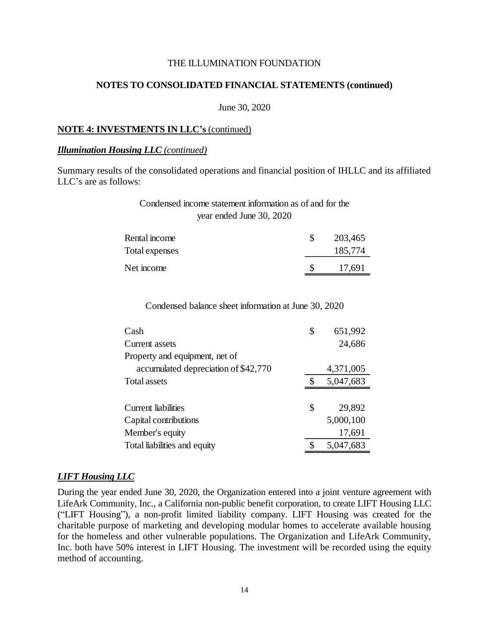#### **NOTES TO CONSOLIDATED FINANCIAL STATEMENTS (continued)**

June 30, 2020

#### **NOTE 4: INVESTMENTS IN LLC's** (continued)

#### *Illumination Housing LLC (continued)*

Summary results of the consolidated operations and financial position of IHLLC and its affiliated LLC's are as follows:

# Condensed income statement information as of and for the year ended June 30, 2020

| Rental income  | 203,465 |
|----------------|---------|
| Total expenses | 185,774 |
| Net income     | 17,691  |

Condensed balance sheet information at June 30, 2020

| Cash                                 | \$<br>651,992 |
|--------------------------------------|---------------|
| <b>Current assets</b>                | 24,686        |
| Property and equipment, net of       |               |
| accumulated depreciation of \$42,770 | 4,371,005     |
| Total assets                         | 5,047,683     |
|                                      |               |
| Current liabilities                  | \$<br>29,892  |
| Capital contributions                | 5,000,100     |
| Member's equity                      | 17,691        |
| Total liabilities and equity         | 5,047,683     |

## *LIFT Housing LLC*

During the year ended June 30, 2020, the Organization entered into a joint venture agreement with LifeArk Community, Inc., a California non-public benefit corporation, to create LIFT Housing LLC ("LIFT Housing"), a non-profit limited liability company. LIFT Housing was created for the charitable purpose of marketing and developing modular homes to accelerate available housing for the homeless and other vulnerable populations. The Organization and LifeArk Community, Inc. both have 50% interest in LIFT Housing. The investment will be recorded using the equity method of accounting.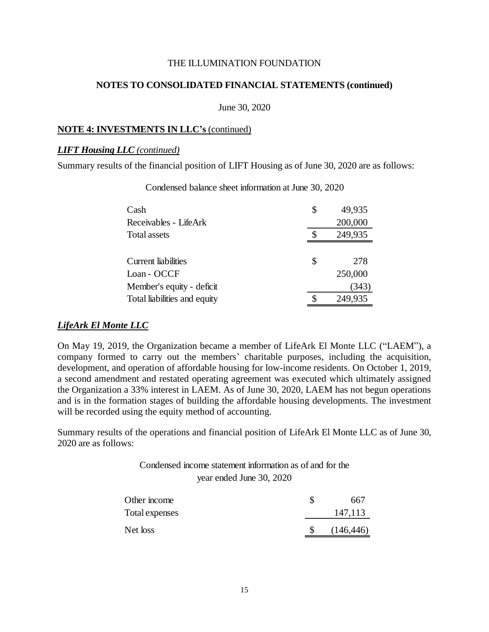#### **NOTES TO CONSOLIDATED FINANCIAL STATEMENTS (continued)**

June 30, 2020

#### **NOTE 4: INVESTMENTS IN LLC's** (continued)

#### *LIFT Housing LLC (continued)*

Summary results of the financial position of LIFT Housing as of June 30, 2020 are as follows:

| Cash                         | \$<br>49,935 |
|------------------------------|--------------|
| Receivables - LifeArk        | 200,000      |
| Total assets                 | 249,935      |
|                              |              |
| Current liabilities          | \$<br>278    |
| Loan - OCCF                  | 250,000      |
| Member's equity - deficit    | (343)        |
| Total liabilities and equity | 249,935      |

Condensed balance sheet information at June 30, 2020

#### *LifeArk El Monte LLC*

On May 19, 2019, the Organization became a member of LifeArk El Monte LLC ("LAEM"), a company formed to carry out the members' charitable purposes, including the acquisition, development, and operation of affordable housing for low-income residents. On October 1, 2019, a second amendment and restated operating agreement was executed which ultimately assigned the Organization a 33% interest in LAEM. As of June 30, 2020, LAEM has not begun operations and is in the formation stages of building the affordable housing developments. The investment will be recorded using the equity method of accounting.

Summary results of the operations and financial position of LifeArk El Monte LLC as of June 30, 2020 are as follows:

# Condensed income statement information as of and for the year ended June 30, 2020

| Other income   | 667        |
|----------------|------------|
| Total expenses | 147,113    |
| Net loss       | (146, 446) |
|                |            |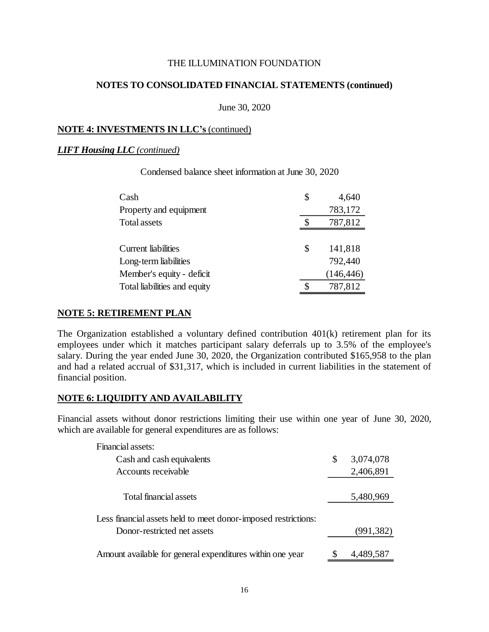#### **NOTES TO CONSOLIDATED FINANCIAL STATEMENTS (continued)**

June 30, 2020

#### **NOTE 4: INVESTMENTS IN LLC's** (continued)

#### *LIFT Housing LLC (continued)*

| Cash                         | \$<br>4,640   |
|------------------------------|---------------|
| Property and equipment       | 783,172       |
| <b>Total assets</b>          | 787,812       |
|                              |               |
| <b>Current liabilities</b>   | \$<br>141,818 |
| Long-term liabilities        | 792,440       |
| Member's equity - deficit    | (146, 446)    |
| Total liabilities and equity | 787,812       |

Condensed balance sheet information at June 30, 2020

#### **NOTE 5: RETIREMENT PLAN**

The Organization established a voluntary defined contribution 401(k) retirement plan for its employees under which it matches participant salary deferrals up to 3.5% of the employee's salary. During the year ended June 30, 2020, the Organization contributed \$165,958 to the plan and had a related accrual of \$31,317, which is included in current liabilities in the statement of financial position.

#### **NOTE 6: LIQUIDITY AND AVAILABILITY**

Financial assets without donor restrictions limiting their use within one year of June 30, 2020, which are available for general expenditures are as follows:

| Financial assets:                                              |                 |
|----------------------------------------------------------------|-----------------|
| Cash and cash equivalents                                      | \$<br>3,074,078 |
| Accounts receivable                                            | 2,406,891       |
|                                                                |                 |
| Total financial assets                                         | 5,480,969       |
| Less financial assets held to meet donor-imposed restrictions: |                 |
| Donor-restricted net assets                                    | (991, 382)      |
| Amount available for general expenditures within one year      | 4,489,587       |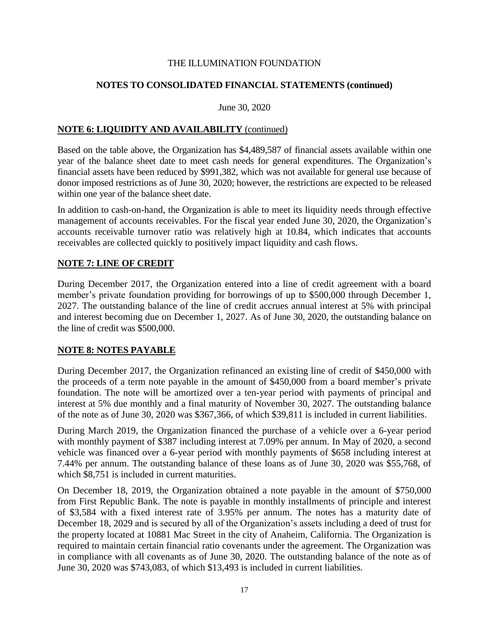## **NOTES TO CONSOLIDATED FINANCIAL STATEMENTS (continued)**

June 30, 2020

## **NOTE 6: LIQUIDITY AND AVAILABILITY** (continued)

Based on the table above, the Organization has \$4,489,587 of financial assets available within one year of the balance sheet date to meet cash needs for general expenditures. The Organization's financial assets have been reduced by \$991,382, which was not available for general use because of donor imposed restrictions as of June 30, 2020; however, the restrictions are expected to be released within one year of the balance sheet date.

In addition to cash-on-hand, the Organization is able to meet its liquidity needs through effective management of accounts receivables. For the fiscal year ended June 30, 2020, the Organization's accounts receivable turnover ratio was relatively high at 10.84, which indicates that accounts receivables are collected quickly to positively impact liquidity and cash flows.

## **NOTE 7: LINE OF CREDIT**

During December 2017, the Organization entered into a line of credit agreement with a board member's private foundation providing for borrowings of up to \$500,000 through December 1, 2027. The outstanding balance of the line of credit accrues annual interest at 5% with principal and interest becoming due on December 1, 2027. As of June 30, 2020, the outstanding balance on the line of credit was \$500,000.

## **NOTE 8: NOTES PAYABLE**

During December 2017, the Organization refinanced an existing line of credit of \$450,000 with the proceeds of a term note payable in the amount of \$450,000 from a board member's private foundation. The note will be amortized over a ten-year period with payments of principal and interest at 5% due monthly and a final maturity of November 30, 2027. The outstanding balance of the note as of June 30, 2020 was \$367,366, of which \$39,811 is included in current liabilities.

During March 2019, the Organization financed the purchase of a vehicle over a 6-year period with monthly payment of \$387 including interest at 7.09% per annum. In May of 2020, a second vehicle was financed over a 6-year period with monthly payments of \$658 including interest at 7.44% per annum. The outstanding balance of these loans as of June 30, 2020 was \$55,768, of which \$8,751 is included in current maturities.

On December 18, 2019, the Organization obtained a note payable in the amount of \$750,000 from First Republic Bank. The note is payable in monthly installments of principle and interest of \$3,584 with a fixed interest rate of 3.95% per annum. The notes has a maturity date of December 18, 2029 and is secured by all of the Organization's assets including a deed of trust for the property located at 10881 Mac Street in the city of Anaheim, California. The Organization is required to maintain certain financial ratio covenants under the agreement. The Organization was in compliance with all covenants as of June 30, 2020. The outstanding balance of the note as of June 30, 2020 was \$743,083, of which \$13,493 is included in current liabilities.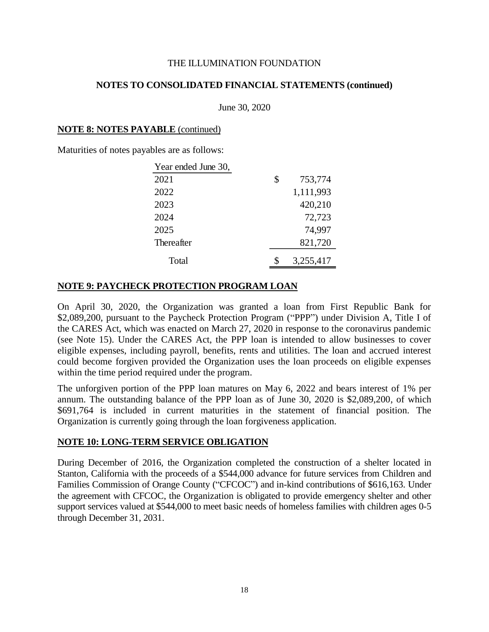## **NOTES TO CONSOLIDATED FINANCIAL STATEMENTS (continued)**

June 30, 2020

#### **NOTE 8: NOTES PAYABLE** (continued)

Maturities of notes payables are as follows:

| Year ended June 30, |               |
|---------------------|---------------|
| 2021                | \$<br>753,774 |
| 2022                | 1,111,993     |
| 2023                | 420,210       |
| 2024                | 72,723        |
| 2025                | 74,997        |
| <b>Thereafter</b>   | 821,720       |
| Total               | 3,255,417     |

## **NOTE 9: PAYCHECK PROTECTION PROGRAM LOAN**

On April 30, 2020, the Organization was granted a loan from First Republic Bank for \$2,089,200, pursuant to the Paycheck Protection Program ("PPP") under Division A, Title I of the CARES Act, which was enacted on March 27, 2020 in response to the coronavirus pandemic (see Note 15). Under the CARES Act, the PPP loan is intended to allow businesses to cover eligible expenses, including payroll, benefits, rents and utilities. The loan and accrued interest could become forgiven provided the Organization uses the loan proceeds on eligible expenses within the time period required under the program.

The unforgiven portion of the PPP loan matures on May 6, 2022 and bears interest of 1% per annum. The outstanding balance of the PPP loan as of June 30, 2020 is \$2,089,200, of which \$691,764 is included in current maturities in the statement of financial position. The Organization is currently going through the loan forgiveness application.

## **NOTE 10: LONG-TERM SERVICE OBLIGATION**

During December of 2016, the Organization completed the construction of a shelter located in Stanton, California with the proceeds of a \$544,000 advance for future services from Children and Families Commission of Orange County ("CFCOC") and in-kind contributions of \$616,163. Under the agreement with CFCOC, the Organization is obligated to provide emergency shelter and other support services valued at \$544,000 to meet basic needs of homeless families with children ages 0-5 through December 31, 2031.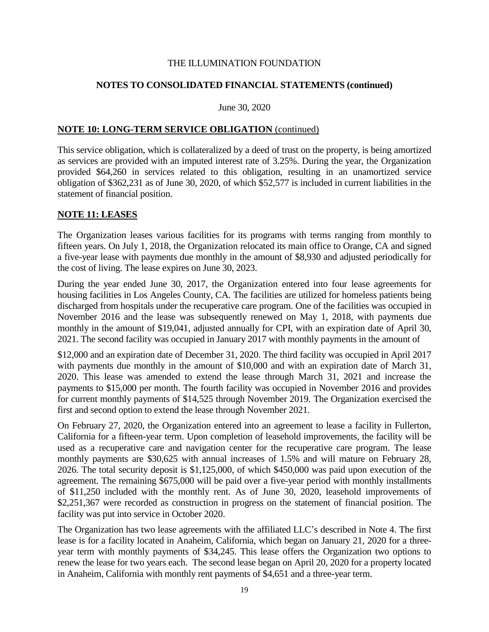## **NOTES TO CONSOLIDATED FINANCIAL STATEMENTS (continued)**

#### June 30, 2020

#### **NOTE 10: LONG-TERM SERVICE OBLIGATION** (continued)

This service obligation, which is collateralized by a deed of trust on the property, is being amortized as services are provided with an imputed interest rate of 3.25%. During the year, the Organization provided \$64,260 in services related to this obligation, resulting in an unamortized service obligation of \$362,231 as of June 30, 2020, of which \$52,577 is included in current liabilities in the statement of financial position.

#### **NOTE 11: LEASES**

The Organization leases various facilities for its programs with terms ranging from monthly to fifteen years. On July 1, 2018, the Organization relocated its main office to Orange, CA and signed a five-year lease with payments due monthly in the amount of \$8,930 and adjusted periodically for the cost of living. The lease expires on June 30, 2023.

During the year ended June 30, 2017, the Organization entered into four lease agreements for housing facilities in Los Angeles County, CA. The facilities are utilized for homeless patients being discharged from hospitals under the recuperative care program. One of the facilities was occupied in November 2016 and the lease was subsequently renewed on May 1, 2018, with payments due monthly in the amount of \$19,041, adjusted annually for CPI, with an expiration date of April 30, 2021. The second facility was occupied in January 2017 with monthly payments in the amount of

\$12,000 and an expiration date of December 31, 2020. The third facility was occupied in April 2017 with payments due monthly in the amount of \$10,000 and with an expiration date of March 31, 2020. This lease was amended to extend the lease through March 31, 2021 and increase the payments to \$15,000 per month. The fourth facility was occupied in November 2016 and provides for current monthly payments of \$14,525 through November 2019. The Organization exercised the first and second option to extend the lease through November 2021.

On February 27, 2020, the Organization entered into an agreement to lease a facility in Fullerton, California for a fifteen-year term. Upon completion of leasehold improvements, the facility will be used as a recuperative care and navigation center for the recuperative care program. The lease monthly payments are \$30,625 with annual increases of 1.5% and will mature on February 28, 2026. The total security deposit is \$1,125,000, of which \$450,000 was paid upon execution of the agreement. The remaining \$675,000 will be paid over a five-year period with monthly installments of \$11,250 included with the monthly rent. As of June 30, 2020, leasehold improvements of \$2,251,367 were recorded as construction in progress on the statement of financial position. The facility was put into service in October 2020.

The Organization has two lease agreements with the affiliated LLC's described in Note 4. The first lease is for a facility located in Anaheim, California, which began on January 21, 2020 for a threeyear term with monthly payments of \$34,245. This lease offers the Organization two options to renew the lease for two years each. The second lease began on April 20, 2020 for a property located in Anaheim, California with monthly rent payments of \$4,651 and a three-year term.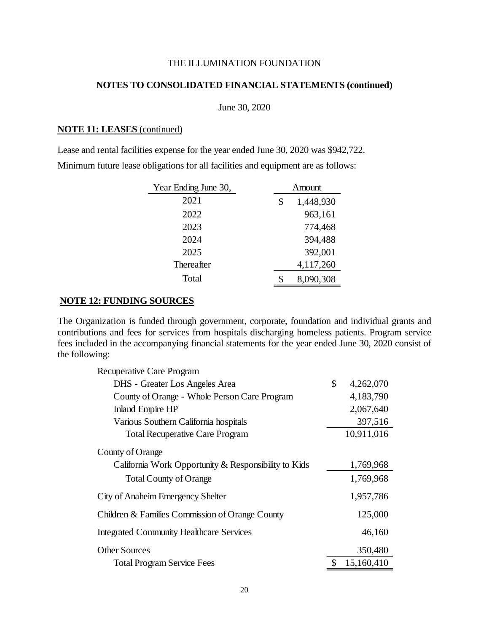## **NOTES TO CONSOLIDATED FINANCIAL STATEMENTS (continued)**

June 30, 2020

#### **NOTE 11: LEASES** (continued)

Lease and rental facilities expense for the year ended June 30, 2020 was \$942,722. Minimum future lease obligations for all facilities and equipment are as follows:

| Year Ending June 30, | Amount |           |  |
|----------------------|--------|-----------|--|
| 2021                 | \$     | 1,448,930 |  |
| 2022                 |        | 963,161   |  |
| 2023                 |        | 774,468   |  |
| 2024                 |        | 394,488   |  |
| 2025                 |        | 392,001   |  |
| <b>Thereafter</b>    |        | 4,117,260 |  |
| Total                |        | 8,090,308 |  |

## **NOTE 12: FUNDING SOURCES**

The Organization is funded through government, corporate, foundation and individual grants and contributions and fees for services from hospitals discharging homeless patients. Program service fees included in the accompanying financial statements for the year ended June 30, 2020 consist of the following:

| Recuperative Care Program                            |                 |
|------------------------------------------------------|-----------------|
| DHS - Greater Los Angeles Area                       | \$<br>4,262,070 |
| County of Orange - Whole Person Care Program         | 4,183,790       |
| <b>Inland Empire HP</b>                              | 2,067,640       |
| Various Southern California hospitals                | 397,516         |
| <b>Total Recuperative Care Program</b>               | 10,911,016      |
| County of Orange                                     |                 |
| California Work Opportunity & Responsibility to Kids | 1,769,968       |
| <b>Total County of Orange</b>                        | 1,769,968       |
| City of Anaheim Emergency Shelter                    | 1,957,786       |
| Children & Families Commission of Orange County      | 125,000         |
| <b>Integrated Community Healthcare Services</b>      | 46,160          |
| <b>Other Sources</b>                                 | 350,480         |
| <b>Total Program Service Fees</b>                    | 15,160,410      |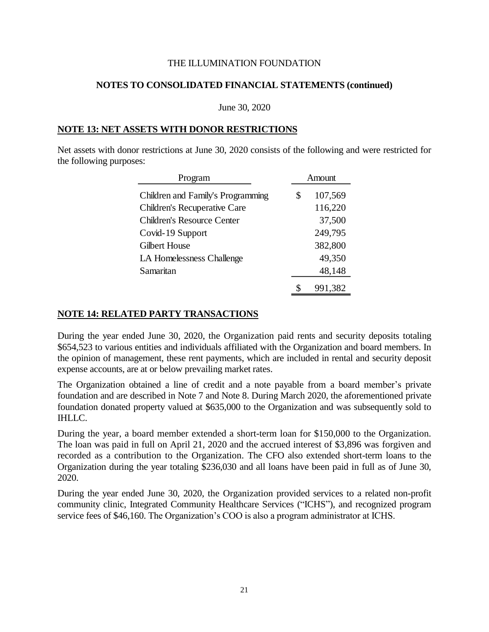## **NOTES TO CONSOLIDATED FINANCIAL STATEMENTS (continued)**

June 30, 2020

#### **NOTE 13: NET ASSETS WITH DONOR RESTRICTIONS**

Net assets with donor restrictions at June 30, 2020 consists of the following and were restricted for the following purposes:

| Program                             | Amount        |  |  |
|-------------------------------------|---------------|--|--|
| Children and Family's Programming   | \$<br>107,569 |  |  |
| <b>Children's Recuperative Care</b> | 116,220       |  |  |
| Children's Resource Center          | 37,500        |  |  |
| Covid-19 Support                    | 249,795       |  |  |
| Gilbert House                       | 382,800       |  |  |
| LA Homelessness Challenge           | 49,350        |  |  |
| Samaritan                           | 48,148        |  |  |
|                                     | 991,382       |  |  |

#### **NOTE 14: RELATED PARTY TRANSACTIONS**

During the year ended June 30, 2020, the Organization paid rents and security deposits totaling \$654,523 to various entities and individuals affiliated with the Organization and board members. In the opinion of management, these rent payments, which are included in rental and security deposit expense accounts, are at or below prevailing market rates.

The Organization obtained a line of credit and a note payable from a board member's private foundation and are described in Note 7 and Note 8. During March 2020, the aforementioned private foundation donated property valued at \$635,000 to the Organization and was subsequently sold to **IHLLC.** 

During the year, a board member extended a short-term loan for \$150,000 to the Organization. The loan was paid in full on April 21, 2020 and the accrued interest of \$3,896 was forgiven and recorded as a contribution to the Organization. The CFO also extended short-term loans to the Organization during the year totaling \$236,030 and all loans have been paid in full as of June 30, 2020.

During the year ended June 30, 2020, the Organization provided services to a related non-profit community clinic, Integrated Community Healthcare Services ("ICHS"), and recognized program service fees of \$46,160. The Organization's COO is also a program administrator at ICHS.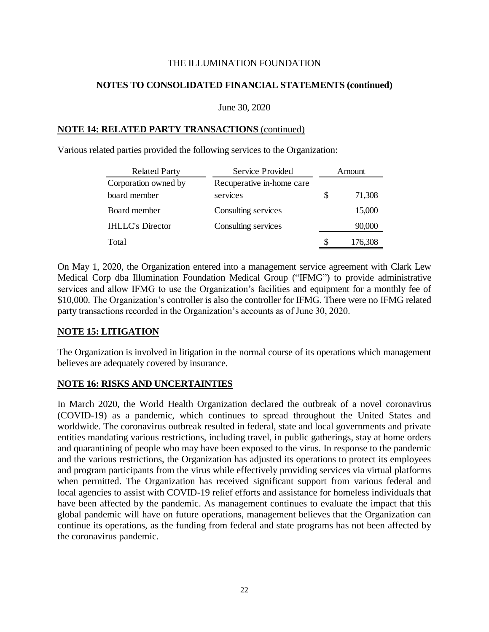## **NOTES TO CONSOLIDATED FINANCIAL STATEMENTS (continued)**

#### June 30, 2020

## **NOTE 14: RELATED PARTY TRANSACTIONS** (continued)

Various related parties provided the following services to the Organization:

| <b>Related Party</b>    | Service Provided          | Amount |         |
|-------------------------|---------------------------|--------|---------|
| Corporation owned by    | Recuperative in-home care |        |         |
| board member            | services                  |        | 71,308  |
| Board member            | Consulting services       |        | 15,000  |
| <b>IHLLC's Director</b> | Consulting services       |        | 90,000  |
| Total                   |                           |        | 176,308 |

On May 1, 2020, the Organization entered into a management service agreement with Clark Lew Medical Corp dba Illumination Foundation Medical Group ("IFMG") to provide administrative services and allow IFMG to use the Organization's facilities and equipment for a monthly fee of \$10,000. The Organization's controller is also the controller for IFMG. There were no IFMG related party transactions recorded in the Organization's accounts as of June 30, 2020.

# **NOTE 15: LITIGATION**

The Organization is involved in litigation in the normal course of its operations which management believes are adequately covered by insurance.

## **NOTE 16: RISKS AND UNCERTAINTIES**

In March 2020, the World Health Organization declared the outbreak of a novel coronavirus (COVID-19) as a pandemic, which continues to spread throughout the United States and worldwide. The coronavirus outbreak resulted in federal, state and local governments and private entities mandating various restrictions, including travel, in public gatherings, stay at home orders and quarantining of people who may have been exposed to the virus. In response to the pandemic and the various restrictions, the Organization has adjusted its operations to protect its employees and program participants from the virus while effectively providing services via virtual platforms when permitted. The Organization has received significant support from various federal and local agencies to assist with COVID-19 relief efforts and assistance for homeless individuals that have been affected by the pandemic. As management continues to evaluate the impact that this global pandemic will have on future operations, management believes that the Organization can continue its operations, as the funding from federal and state programs has not been affected by the coronavirus pandemic.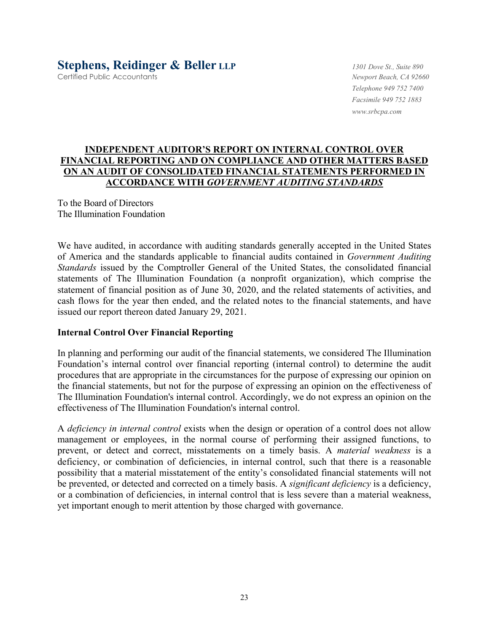# **Stephens, Reidinger & Beller LLP** *1301 Dove St., Suite 890*

Certified Public Accountants *Newport Beach, CA 92660*

*Telephone 949 752 7400 Facsimile 949 752 1883 www.srbcpa.com* 

## **INDEPENDENT AUDITOR'S REPORT ON INTERNAL CONTROL OVER FINANCIAL REPORTING AND ON COMPLIANCE AND OTHER MATTERS BASED ON AN AUDIT OF CONSOLIDATED FINANCIAL STATEMENTS PERFORMED IN ACCORDANCE WITH** *GOVERNMENT AUDITING STANDARDS*

To the Board of Directors The Illumination Foundation

We have audited, in accordance with auditing standards generally accepted in the United States of America and the standards applicable to financial audits contained in *Government Auditing Standards* issued by the Comptroller General of the United States, the consolidated financial statements of The Illumination Foundation (a nonprofit organization), which comprise the statement of financial position as of June 30, 2020, and the related statements of activities, and cash flows for the year then ended, and the related notes to the financial statements, and have issued our report thereon dated January 29, 2021.

## **Internal Control Over Financial Reporting**

In planning and performing our audit of the financial statements, we considered The Illumination Foundation's internal control over financial reporting (internal control) to determine the audit procedures that are appropriate in the circumstances for the purpose of expressing our opinion on the financial statements, but not for the purpose of expressing an opinion on the effectiveness of The Illumination Foundation's internal control. Accordingly, we do not express an opinion on the effectiveness of The Illumination Foundation's internal control.

A *deficiency in internal control* exists when the design or operation of a control does not allow management or employees, in the normal course of performing their assigned functions, to prevent, or detect and correct, misstatements on a timely basis. A *material weakness* is a deficiency, or combination of deficiencies, in internal control, such that there is a reasonable possibility that a material misstatement of the entity's consolidated financial statements will not be prevented, or detected and corrected on a timely basis. A *significant deficiency* is a deficiency, or a combination of deficiencies, in internal control that is less severe than a material weakness, yet important enough to merit attention by those charged with governance.